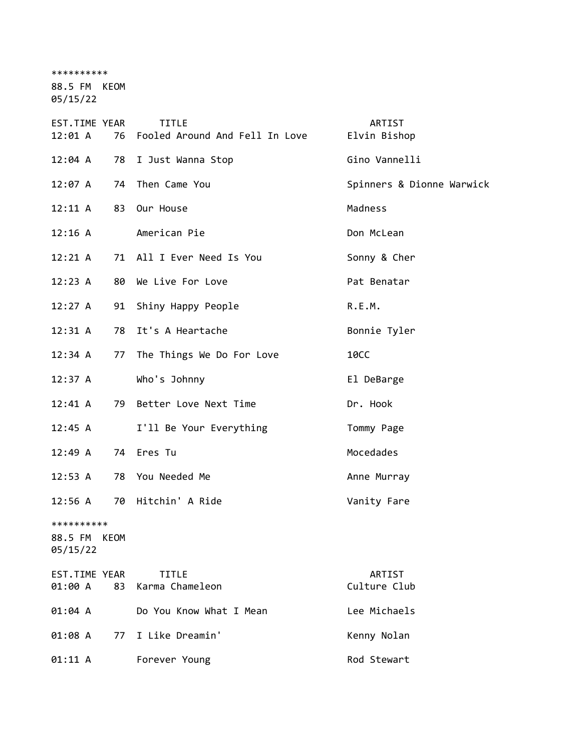\*\*\*\*\*\*\*\*\*\*

88.5 FM KEOM 05/15/22

EST.TIME YEAR TITLE THE REST.TIME YEAR 12:01 A 76 Fooled Around And Fell In Love Elvin Bishop 12:04 A 78 I Just Wanna Stop Gino Vannelli 12:07 A 74 Then Came You Spinners & Dionne Warwick 12:11 A 83 Our House Madness 12:16 A American Pie Don McLean 12:21 A 71 All I Ever Need Is You Sonny & Cher 12:23 A 80 We Live For Love **Pat Benatar** 12:27 A 91 Shiny Happy People R.E.M. 12:31 A 78 It's A Heartache Bonnie Tyler 12:34 A 77 The Things We Do For Love 10CC 12:37 A Who's Johnny El DeBarge 12:41 A 79 Better Love Next Time The Dr. Hook 12:45 A I'll Be Your Everything Tommy Page 12:49 A 74 Eres Tu and the Mocedades 12:53 A 78 You Needed Me Anne Murray 12:56 A 70 Hitchin' A Ride Vanity Fare \*\*\*\*\*\*\*\*\*\* 88.5 FM KEOM 05/15/22 EST.TIME YEAR TITLE ARTIST 01:00 A 83 Karma Chameleon Culture Club 01:04 A Do You Know What I Mean Lee Michaels 01:08 A 77 I Like Dreamin' Kenny Nolan 01:11 A Forever Young Rod Stewart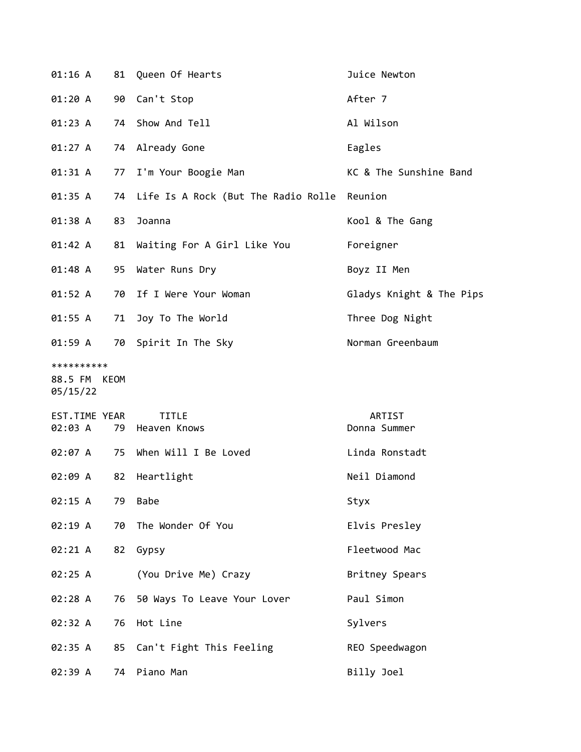| 01:16 A                                | 81 | Queen Of Hearts                             | Juice Newton             |
|----------------------------------------|----|---------------------------------------------|--------------------------|
| 01:20 A                                | 90 | Can't Stop                                  | After 7                  |
| 01:23 A                                |    | 74 Show And Tell                            | Al Wilson                |
| 01:27 A                                | 74 | Already Gone                                | Eagles                   |
| 01:31 A                                | 77 | I'm Your Boogie Man                         | KC & The Sunshine Band   |
| 01:35 A                                | 74 | Life Is A Rock (But The Radio Rolle Reunion |                          |
| 01:38 A                                | 83 | Joanna                                      | Kool & The Gang          |
| 01:42 A                                | 81 | Waiting For A Girl Like You                 | Foreigner                |
| 01:48 A                                | 95 | Water Runs Dry                              | Boyz II Men              |
| 01:52 A                                | 70 | If I Were Your Woman                        | Gladys Knight & The Pips |
| 01:55 A                                | 71 | Joy To The World                            | Three Dog Night          |
| $01:59$ A                              |    | 70 Spirit In The Sky                        | Norman Greenbaum         |
| **********<br>88.5 FM KEOM<br>05/15/22 |    |                                             |                          |
| EST.TIME YEAR<br>02:03 A               |    | <b>TITLE</b><br>79 Heaven Knows             | ARTIST<br>Donna Summer   |
| 02:07 A                                | 75 | When Will I Be Loved                        | Linda Ronstadt           |
| 02:09 A                                | 82 | Heartlight                                  | Neil Diamond             |
| 02:15 A                                | 79 | <b>Babe</b>                                 | Styx                     |
| 02:19 A                                | 70 | The Wonder Of You                           | Elvis Presley            |
| 02:21 A                                | 82 | Gypsy                                       | Fleetwood Mac            |
| 02:25 A                                |    | (You Drive Me) Crazy                        | Britney Spears           |
| 02:28 A                                | 76 | 50 Ways To Leave Your Lover                 | Paul Simon               |
| 02:32 A                                | 76 | Hot Line                                    | Sylvers                  |
| 02:35 A                                | 85 | Can't Fight This Feeling                    | REO Speedwagon           |
| 02:39 A                                | 74 | Piano Man                                   | Billy Joel               |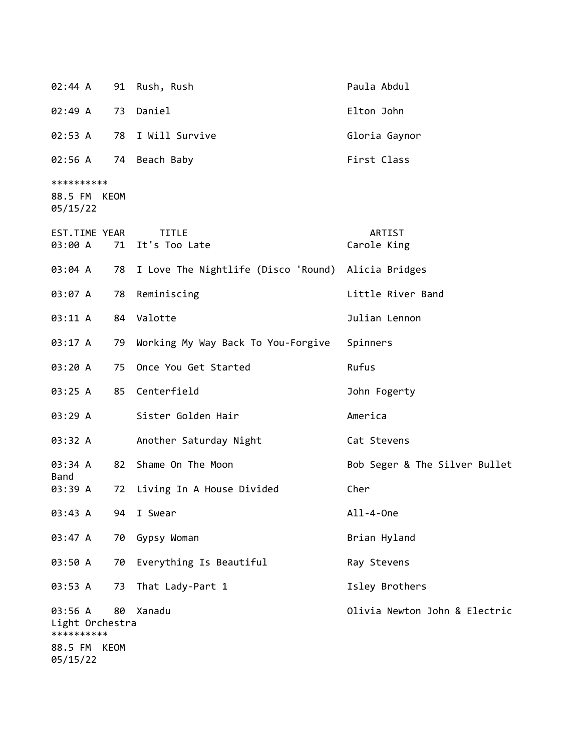| 02:44 A                                                              |    | 91 Rush, Rush                                         | Paula Abdul                   |
|----------------------------------------------------------------------|----|-------------------------------------------------------|-------------------------------|
| 02:49 A                                                              |    | 73 Daniel                                             | Elton John                    |
| 02:53 A                                                              |    | 78 I Will Survive                                     | Gloria Gaynor                 |
| 02:56 A                                                              |    | 74 Beach Baby                                         | First Class                   |
| **********<br>88.5 FM KEOM<br>05/15/22                               |    |                                                       |                               |
| EST.TIME YEAR<br>03:00 A                                             |    | TITLE<br>71 It's Too Late                             | ARTIST<br>Carole King         |
| 03:04 A                                                              |    | 78 I Love The Nightlife (Disco 'Round) Alicia Bridges |                               |
| 03:07 A                                                              |    | 78 Reminiscing                                        | Little River Band             |
| 03:11 A                                                              |    | 84 Valotte                                            | Julian Lennon                 |
| 03:17 A                                                              |    | 79 Working My Way Back To You-Forgive                 | Spinners                      |
| 03:20 A                                                              |    | 75 Once You Get Started                               | Rufus                         |
| 03:25 A                                                              |    | 85 Centerfield                                        | John Fogerty                  |
| 03:29 A                                                              |    | Sister Golden Hair                                    | America                       |
| 03:32 A                                                              |    | Another Saturday Night                                | Cat Stevens                   |
| 03:34 A<br>Band                                                      |    | 82 Shame On The Moon                                  | Bob Seger & The Silver Bullet |
| 03:39 A                                                              | 72 | Living In A House Divided                             | Cher                          |
| 03:43 A                                                              | 94 | I Swear                                               | All-4-0ne                     |
| 03:47 A                                                              | 70 | Gypsy Woman                                           | Brian Hyland                  |
| 03:50 A                                                              | 70 | Everything Is Beautiful                               | Ray Stevens                   |
| 03:53 A                                                              | 73 | That Lady-Part 1                                      | Isley Brothers                |
| 03:56 A<br>Light Orchestra<br>**********<br>88.5 FM KEOM<br>05/15/22 | 80 | Xanadu                                                | Olivia Newton John & Electric |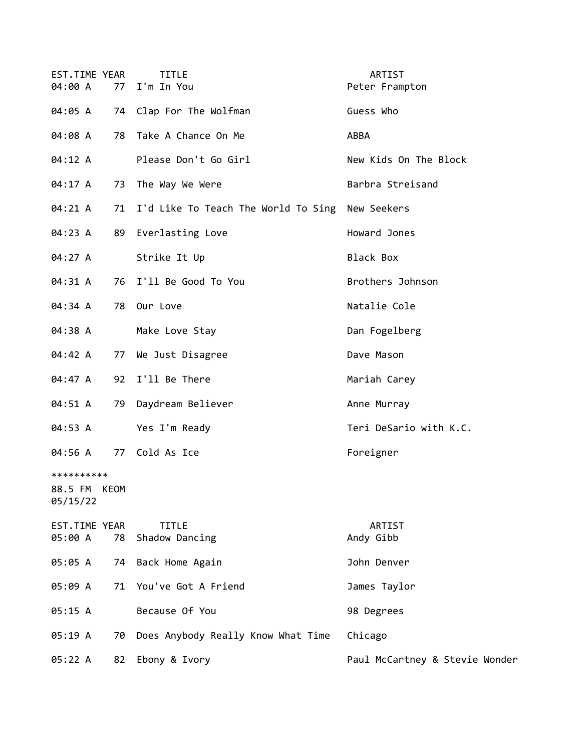| EST.TIME YEAR<br>04:00 A               | 77 | <b>TITLE</b><br>I'm In You                      | ARTIST<br>Peter Frampton       |
|----------------------------------------|----|-------------------------------------------------|--------------------------------|
| 04:05 A                                |    | 74 Clap For The Wolfman                         | Guess Who                      |
| 04:08 A                                |    | 78 Take A Chance On Me                          | ABBA                           |
| 04:12 A                                |    | Please Don't Go Girl                            | New Kids On The Block          |
| 04:17 A                                | 73 | The Way We Were                                 | Barbra Streisand               |
| 04:21 A                                | 71 | I'd Like To Teach The World To Sing New Seekers |                                |
| 04:23 A                                | 89 | Everlasting Love                                | Howard Jones                   |
| 04:27 A                                |    | Strike It Up                                    | Black Box                      |
| 04:31 A                                | 76 | I'll Be Good To You                             | Brothers Johnson               |
| 04:34 A                                | 78 | Our Love                                        | Natalie Cole                   |
| 04:38 A                                |    | Make Love Stay                                  | Dan Fogelberg                  |
| 04:42 A                                | 77 | We Just Disagree                                | Dave Mason                     |
| 04:47 A                                | 92 | I'll Be There                                   | Mariah Carey                   |
| 04:51 A                                | 79 | Daydream Believer                               | Anne Murray                    |
| 04:53 A                                |    | Yes I'm Ready                                   | Teri DeSario with K.C.         |
| 04:56 A                                |    | 77 Cold As Ice                                  | Foreigner                      |
| **********<br>88.5 FM KEOM<br>05/15/22 |    |                                                 |                                |
| EST.TIME YEAR<br>05:00 A               | 78 | <b>TITLE</b><br>Shadow Dancing                  | ARTIST<br>Andy Gibb            |
| 05:05 A                                | 74 | Back Home Again                                 | John Denver                    |
| 05:09 A                                |    | 71 You've Got A Friend                          | James Taylor                   |
| 05:15 A                                |    | Because Of You                                  | 98 Degrees                     |
| 05:19 A                                | 70 | Does Anybody Really Know What Time              | Chicago                        |
| 05:22 A                                | 82 | Ebony & Ivory                                   | Paul McCartney & Stevie Wonder |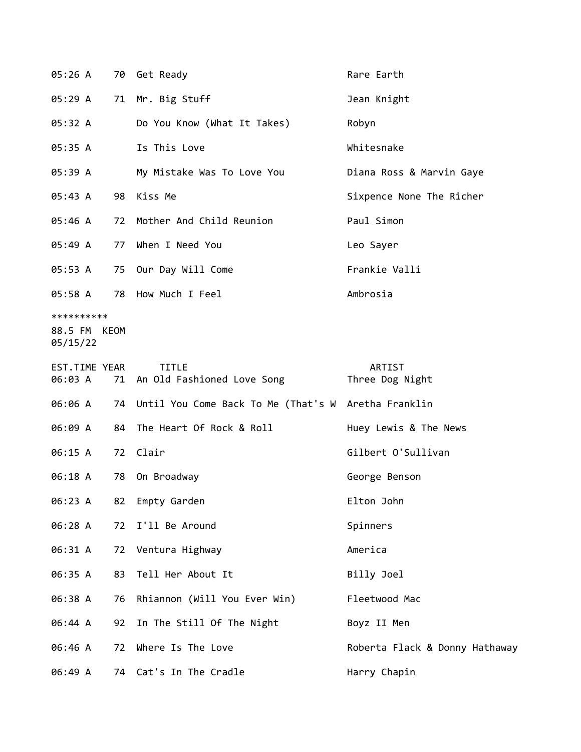| 05:26 A                                |    | 70 Get Ready                                           | Rare Earth                     |
|----------------------------------------|----|--------------------------------------------------------|--------------------------------|
| 05:29 A                                |    | 71 Mr. Big Stuff                                       | Jean Knight                    |
| 05:32 A                                |    | Do You Know (What It Takes)                            | Robyn                          |
| 05:35 A                                |    | Is This Love                                           | Whitesnake                     |
| 05:39 A                                |    | My Mistake Was To Love You                             | Diana Ross & Marvin Gaye       |
| 05:43 A                                |    | 98 Kiss Me                                             | Sixpence None The Richer       |
| 05:46 A                                |    | 72 Mother And Child Reunion                            | Paul Simon                     |
| 05:49 A                                | 77 | When I Need You                                        | Leo Sayer                      |
| 05:53 A                                |    | 75 Our Day Will Come                                   | Frankie Valli                  |
| 05:58 A                                | 78 | How Much I Feel                                        | Ambrosia                       |
| **********<br>88.5 FM KEOM<br>05/15/22 |    |                                                        |                                |
| EST.TIME YEAR                          |    | <b>TITLE</b><br>06:03 A 71 An Old Fashioned Love Song  | ARTIST<br>Three Dog Night      |
| 06:06 A                                |    | 74 Until You Come Back To Me (That's W Aretha Franklin |                                |
| 06:09 A                                | 84 | The Heart Of Rock & Roll                               | Huey Lewis & The News          |
| 06:15 A                                |    | 72 Clair                                               | Gilbert O'Sullivan             |
| 06:18 A                                | 78 | On Broadway                                            | George Benson                  |
| 06:23 A                                | 82 | Empty Garden                                           | Elton John                     |
| 06:28 A                                | 72 | I'll Be Around                                         | Spinners                       |
| 06:31 A                                |    | 72 Ventura Highway                                     | America                        |
| 06:35 A                                | 83 | Tell Her About It                                      | Billy Joel                     |
| 06:38 A                                | 76 | Rhiannon (Will You Ever Win)                           | Fleetwood Mac                  |
| 06:44 A                                | 92 | In The Still Of The Night                              | Boyz II Men                    |
| 06:46 A                                | 72 | Where Is The Love                                      | Roberta Flack & Donny Hathaway |
| 06:49 A                                |    | 74 Cat's In The Cradle                                 | Harry Chapin                   |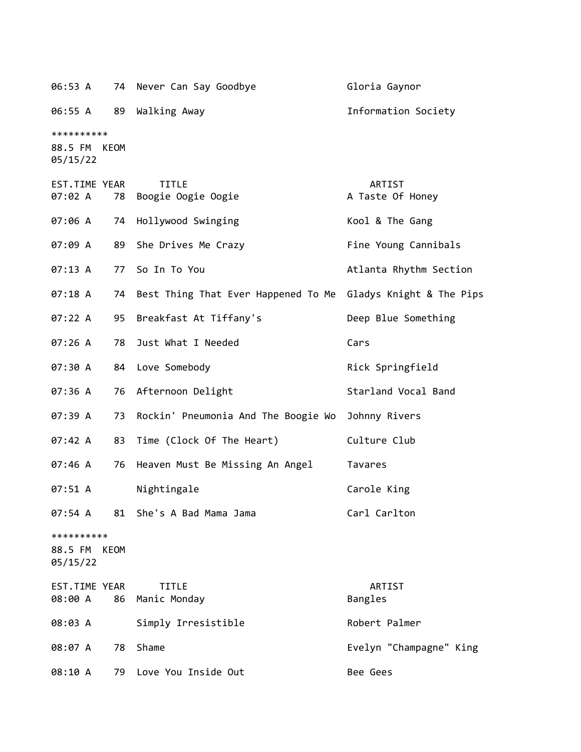06:53 A 74 Never Can Say Goodbye **Gloria Gaynor** 

06:55 A 89 Walking Away Information Society

\*\*\*\*\*\*\*\*\*\*

88.5 FM KEOM 05/15/22

| EST.TIME YEAR<br>07:02 A<br>78         | <b>TITLE</b><br>Boogie Oogie Oogie  | ARTIST<br>A Taste Of Honey |
|----------------------------------------|-------------------------------------|----------------------------|
| 07:06 A<br>74                          | Hollywood Swinging                  | Kool & The Gang            |
| 07:09 A<br>89                          | She Drives Me Crazy                 | Fine Young Cannibals       |
| 07:13 A<br>77                          | So In To You                        | Atlanta Rhythm Section     |
| 07:18 A<br>74                          | Best Thing That Ever Happened To Me | Gladys Knight & The Pips   |
| 07:22 A<br>95                          | Breakfast At Tiffany's              | Deep Blue Something        |
| 07:26 A<br>78                          | Just What I Needed                  | Cars                       |
| 07:30 A<br>84                          | Love Somebody                       | Rick Springfield           |
| 07:36 A<br>76                          | Afternoon Delight                   | Starland Vocal Band        |
| 07:39 A<br>73                          | Rockin' Pneumonia And The Boogie Wo | Johnny Rivers              |
| 07:42 A<br>83                          | Time (Clock Of The Heart)           | Culture Club               |
| 07:46 A<br>76                          | Heaven Must Be Missing An Angel     | Tavares                    |
| 07:51 A                                | Nightingale                         | Carole King                |
| 07:54 A<br>81                          | She's A Bad Mama Jama               | Carl Carlton               |
| **********<br>88.5 FM KEOM<br>05/15/22 |                                     |                            |
| EST.TIME YEAR<br>08:00 A<br>86         | TITLE<br>Manic Monday               | ARTIST<br>Bangles          |
| 08:03 A                                | Simply Irresistible                 | Robert Palmer              |
| 08:07 A<br>78                          | Shame                               | Evelyn "Champagne" King    |
| 08:10 A<br>79                          | Love You Inside Out                 | Bee Gees                   |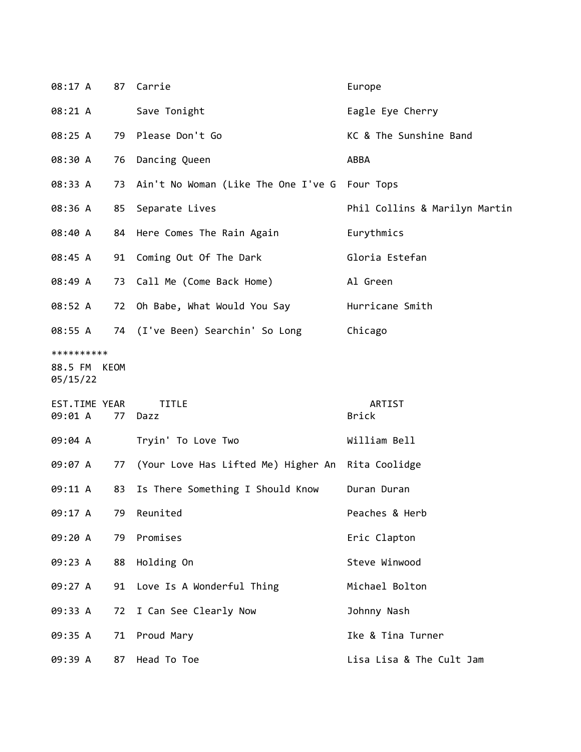| 08:17 A                                |    | 87 Carrie                                            | Europe                        |
|----------------------------------------|----|------------------------------------------------------|-------------------------------|
| 08:21 A                                |    | Save Tonight                                         | Eagle Eye Cherry              |
| 08:25 A                                |    | 79 Please Don't Go                                   | KC & The Sunshine Band        |
| 08:30 A                                | 76 | Dancing Queen                                        | ABBA                          |
| 08:33 A                                |    | 73 Ain't No Woman (Like The One I've G Four Tops     |                               |
| 08:36 A                                |    | 85 Separate Lives                                    | Phil Collins & Marilyn Martin |
| 08:40 A                                |    | 84 Here Comes The Rain Again                         | Eurythmics                    |
| 08:45 A                                |    | 91 Coming Out Of The Dark                            | Gloria Estefan                |
| 08:49 A                                |    | 73 Call Me (Come Back Home)                          | Al Green                      |
| 08:52 A                                |    | 72 Oh Babe, What Would You Say                       | Hurricane Smith               |
| 08:55 A                                |    | 74 (I've Been) Searchin' So Long                     | Chicago                       |
| **********<br>88.5 FM KEOM<br>05/15/22 |    |                                                      |                               |
| EST.TIME YEAR<br>09:01 A               | 77 | <b>TITLE</b><br>Dazz                                 | ARTIST<br><b>Brick</b>        |
| 09:04 A                                |    | Tryin' To Love Two                                   | William Bell                  |
| 09:07 A                                |    | 77 (Your Love Has Lifted Me) Higher An Rita Coolidge |                               |
| 09:11 A                                | 83 | Is There Something I Should Know                     | Duran Duran                   |
| 09:17 A                                | 79 | Reunited                                             | Peaches & Herb                |
| 09:20 A                                | 79 | Promises                                             | Eric Clapton                  |
| 09:23 A                                | 88 | Holding On                                           | Steve Winwood                 |
| 09:27 A                                | 91 | Love Is A Wonderful Thing                            | Michael Bolton                |
| 09:33 A                                | 72 | I Can See Clearly Now                                | Johnny Nash                   |
| 09:35 A                                | 71 | Proud Mary                                           | Ike & Tina Turner             |
| 09:39 A                                | 87 | Head To Toe                                          | Lisa Lisa & The Cult Jam      |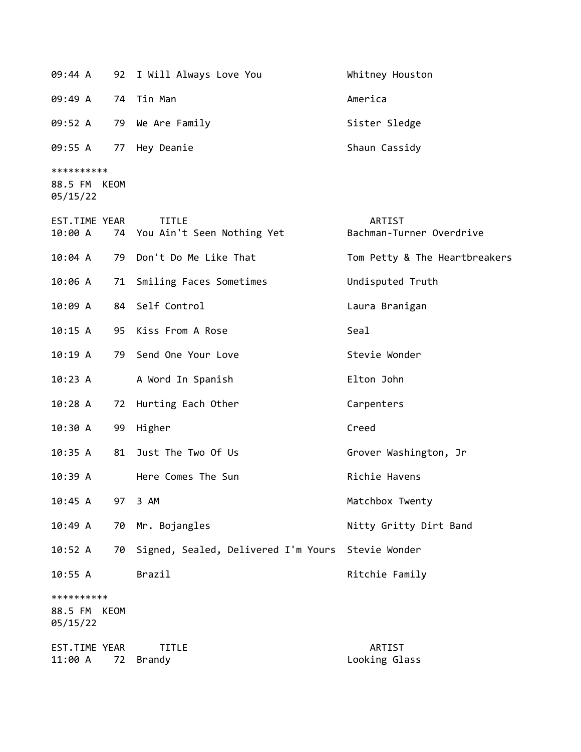09:44 A 92 I Will Always Love You Whitney Houston 09:49 A 74 Tin Man America 09:52 A 79 We Are Family Sister Sledge 09:55 A 77 Hey Deanie Shaun Cassidy \*\*\*\*\*\*\*\*\*\* 88.5 FM KEOM 05/15/22 EST.TIME YEAR TITLE THE REST.TIME YEAR 10:00 A 74 You Ain't Seen Nothing Yet Bachman-Turner Overdrive 10:04 A 79 Don't Do Me Like That Tom Petty & The Heartbreakers 10:06 A 71 Smiling Faces Sometimes Undisputed Truth 10:09 A 84 Self Control Laura Branigan 10:15 A 95 Kiss From A Rose Seal 10:19 A 79 Send One Your Love Stevie Wonder 10:23 A A Word In Spanish Elton John 10:28 A 72 Hurting Each Other Carpenters 10:30 A 99 Higher Creed 10:35 A 81 Just The Two Of Us Grover Washington, Jr 10:39 A Here Comes The Sun Richie Havens 10:45 A 97 3 AM Matchbox Twenty 10:49 A 70 Mr. Bojangles Nitty Gritty Dirt Band 10:52 A 70 Signed, Sealed, Delivered I'm Yours Stevie Wonder 10:55 A Brazil Brazil Ritchie Family \*\*\*\*\*\*\*\*\*\* 88.5 FM KEOM 05/15/22 EST.TIME YEAR TITLE ARTIST 11:00 A 72 Brandy Looking Glass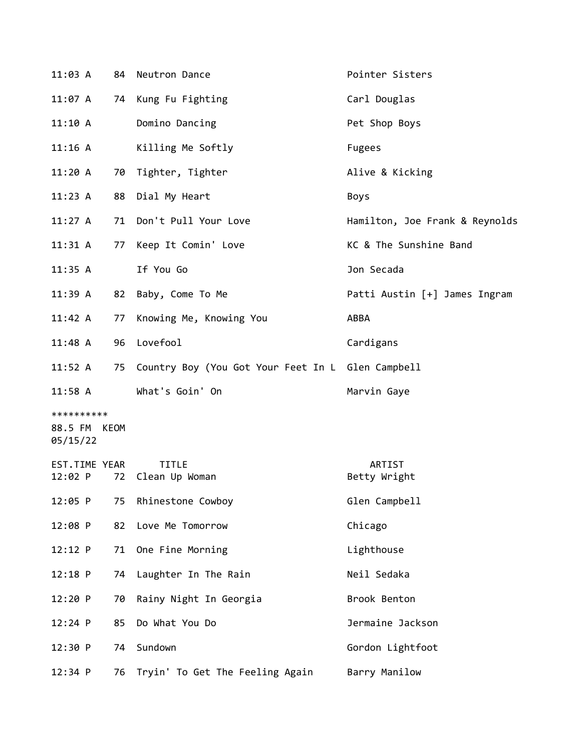| 11:03 A                                | 84 | Neutron Dance                                        | Pointer Sisters                |
|----------------------------------------|----|------------------------------------------------------|--------------------------------|
| 11:07 A                                |    | 74 Kung Fu Fighting                                  | Carl Douglas                   |
| 11:10A                                 |    | Domino Dancing                                       | Pet Shop Boys                  |
| 11:16 A                                |    | Killing Me Softly                                    | <b>Fugees</b>                  |
| 11:20A                                 | 70 | Tighter, Tighter                                     | Alive & Kicking                |
| 11:23 A                                |    | 88 Dial My Heart                                     | Boys                           |
| 11:27 A                                | 71 | Don't Pull Your Love                                 | Hamilton, Joe Frank & Reynolds |
| 11:31 A                                | 77 | Keep It Comin' Love                                  | KC & The Sunshine Band         |
| 11:35 A                                |    | If You Go                                            | Jon Secada                     |
| 11:39 A                                | 82 | Baby, Come To Me                                     | Patti Austin [+] James Ingram  |
| 11:42 A                                | 77 | Knowing Me, Knowing You                              | ABBA                           |
| 11:48A                                 | 96 | Lovefool                                             | Cardigans                      |
| $11:52$ A                              |    | 75 Country Boy (You Got Your Feet In L Glen Campbell |                                |
| 11:58 A                                |    | What's Goin' On                                      | Marvin Gaye                    |
| **********<br>88.5 FM KEOM<br>05/15/22 |    |                                                      |                                |
| EST.TIME YEAR<br>12:02 P               | 72 | <b>TITLE</b><br>Clean Up Woman                       | ARTIST<br>Betty Wright         |
| 12:05 P                                | 75 | Rhinestone Cowboy                                    | Glen Campbell                  |
| 12:08 P                                | 82 | Love Me Tomorrow                                     | Chicago                        |
| 12:12 P                                | 71 | One Fine Morning                                     | Lighthouse                     |
| $12:18$ P                              | 74 | Laughter In The Rain                                 | Neil Sedaka                    |
| 12:20 P                                | 70 | Rainy Night In Georgia                               | Brook Benton                   |
| 12:24 P                                | 85 | Do What You Do                                       | Jermaine Jackson               |
| 12:30 P                                | 74 | Sundown                                              | Gordon Lightfoot               |
| 12:34 P                                | 76 | Tryin' To Get The Feeling Again                      | Barry Manilow                  |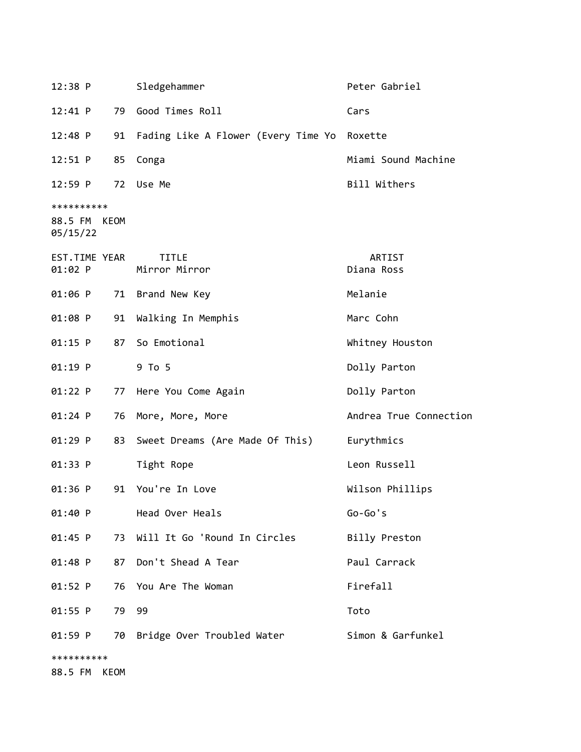| 12:38 P                                |    | Sledgehammer                           | Peter Gabriel          |
|----------------------------------------|----|----------------------------------------|------------------------|
| 12:41 P                                |    | 79 Good Times Roll                     | Cars                   |
| $12:48$ P                              |    | 91 Fading Like A Flower (Every Time Yo | Roxette                |
| 12:51 P                                | 85 | Conga                                  | Miami Sound Machine    |
| 12:59 P                                |    | 72 Use Me                              | Bill Withers           |
| **********<br>88.5 FM KEOM<br>05/15/22 |    |                                        |                        |
| EST.TIME YEAR<br>01:02 P               |    | <b>TITLE</b><br>Mirror Mirror          | ARTIST<br>Diana Ross   |
| 01:06 P                                |    | 71 Brand New Key                       | Melanie                |
| 01:08 P                                |    | 91 Walking In Memphis                  | Marc Cohn              |
| 01:15 P                                |    | 87 So Emotional                        | Whitney Houston        |
| $01:19$ P                              |    | 9 To 5                                 | Dolly Parton           |
| 01:22 P                                |    | 77 Here You Come Again                 | Dolly Parton           |
| $01:24$ P                              |    | 76 More, More, More                    | Andrea True Connection |
| 01:29 P                                | 83 | Sweet Dreams (Are Made Of This)        | Eurythmics             |
| 01:33 P                                |    | Tight Rope                             | Leon Russell           |
| 01:36 P                                |    | 91 You're In Love                      | Wilson Phillips        |
| 01:40 P                                |    | Head Over Heals                        | $Go-Go's$              |
| 01:45 P                                |    | 73 Will It Go 'Round In Circles        | Billy Preston          |
| $01:48$ P                              | 87 | Don't Shead A Tear                     | Paul Carrack           |
| $01:52$ P                              |    | 76 You Are The Woman                   | Firefall               |
| 01:55 P                                | 79 | 99                                     | Toto                   |
| 01:59 P                                |    | 70 Bridge Over Troubled Water          | Simon & Garfunkel      |
| **********<br>88.5 FM KEOM             |    |                                        |                        |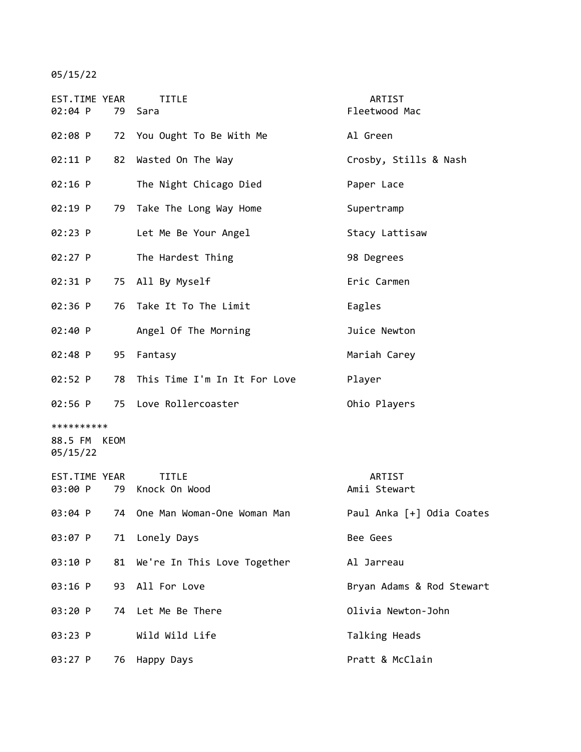## 05/15/22

| EST.TIME YEAR<br>02:04 P               |    | <b>TITLE</b><br>79 Sara          | ARTIST<br>Fleetwood Mac   |
|----------------------------------------|----|----------------------------------|---------------------------|
| 02:08 P                                |    | 72 You Ought To Be With Me       | Al Green                  |
| 02:11 P                                | 82 | Wasted On The Way                | Crosby, Stills & Nash     |
| $02:16$ P                              |    | The Night Chicago Died           | Paper Lace                |
| 02:19 P                                |    | 79 Take The Long Way Home        | Supertramp                |
| 02:23 P                                |    | Let Me Be Your Angel             | Stacy Lattisaw            |
| 02:27 P                                |    | The Hardest Thing                | 98 Degrees                |
| 02:31 P                                |    | 75 All By Myself                 | Eric Carmen               |
| 02:36 P                                | 76 | Take It To The Limit             | Eagles                    |
| 02:40 P                                |    | Angel Of The Morning             | Juice Newton              |
| 02:48 P                                | 95 | Fantasy                          | Mariah Carey              |
| 02:52 P                                |    | 78 This Time I'm In It For Love  | Player                    |
| 02:56 P                                |    | 75 Love Rollercoaster            | Ohio Players              |
| **********<br>88.5 FM KEOM<br>05/15/22 |    |                                  |                           |
| EST.TIME YEAR<br>03:00 P               |    | <b>TITLE</b><br>79 Knock On Wood | ARTIST<br>Amii Stewart    |
| 03:04 P                                | 74 | One Man Woman-One Woman Man      | Paul Anka [+] Odia Coates |
| 03:07 P                                | 71 | Lonely Days                      | Bee Gees                  |
| 03:10 P                                | 81 | We're In This Love Together      | Al Jarreau                |
| 03:16 P                                | 93 | All For Love                     | Bryan Adams & Rod Stewart |
| 03:20 P                                | 74 | Let Me Be There                  | Olivia Newton-John        |
| 03:23 P                                |    | Wild Wild Life                   | Talking Heads             |
| 03:27 P                                | 76 | Happy Days                       | Pratt & McClain           |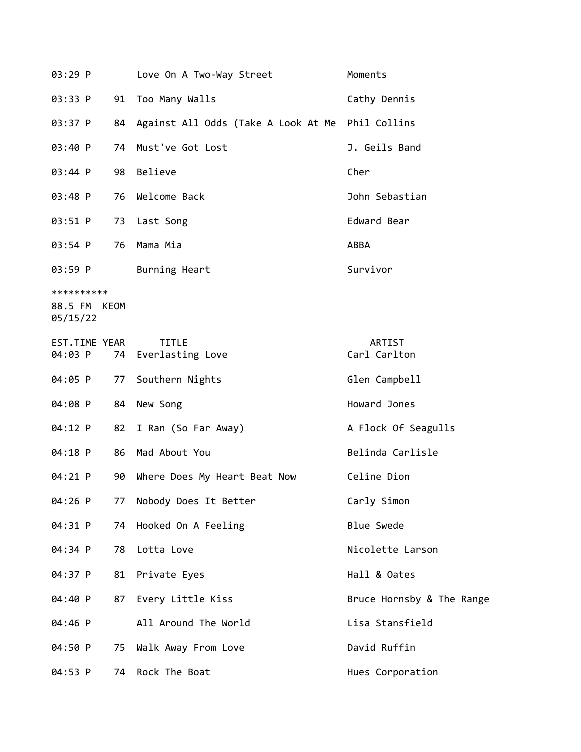| 03:29 P                                |    | Love On A Two-Way Street            | Moments                   |
|----------------------------------------|----|-------------------------------------|---------------------------|
| 03:33 P                                | 91 | Too Many Walls                      | Cathy Dennis              |
| 03:37 P                                | 84 | Against All Odds (Take A Look At Me | Phil Collins              |
| 03:40 P                                | 74 | Must've Got Lost                    | J. Geils Band             |
| 03:44 P                                | 98 | Believe                             | Cher                      |
| 03:48 P                                | 76 | Welcome Back                        | John Sebastian            |
| 03:51 P                                | 73 | Last Song                           | Edward Bear               |
| 03:54 P                                | 76 | Mama Mia                            | ABBA                      |
| 03:59 P                                |    | Burning Heart                       | Survivor                  |
| **********<br>88.5 FM KEOM<br>05/15/22 |    |                                     |                           |
| EST.TIME YEAR<br>04:03 P               | 74 | <b>TITLE</b><br>Everlasting Love    | ARTIST<br>Carl Carlton    |
| 04:05 P                                | 77 | Southern Nights                     | Glen Campbell             |
| 04:08 P                                | 84 | New Song                            | Howard Jones              |
| 04:12 P                                | 82 | I Ran (So Far Away)                 | A Flock Of Seagulls       |
| 04:18 P                                | 86 | Mad About You                       | Belinda Carlisle          |
| 04:21 P                                | 90 | Where Does My Heart Beat Now        | Celine Dion               |
| 04:26 P                                | 77 | Nobody Does It Better               | Carly Simon               |
| 04:31 P                                | 74 | Hooked On A Feeling                 | <b>Blue Swede</b>         |
| 04:34 P                                | 78 | Lotta Love                          | Nicolette Larson          |
| 04:37 P                                | 81 | Private Eyes                        | Hall & Oates              |
| 04:40 P                                | 87 | Every Little Kiss                   | Bruce Hornsby & The Range |
| 04:46 P                                |    | All Around The World                | Lisa Stansfield           |
| 04:50 P                                | 75 | Walk Away From Love                 | David Ruffin              |
| 04:53 P                                | 74 | Rock The Boat                       | Hues Corporation          |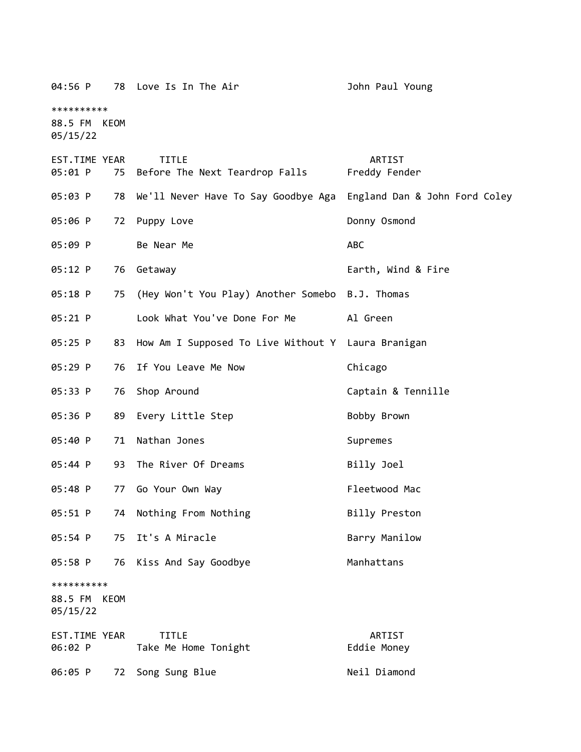| 04:56 P                           |      | 78 Love Is In The Air                              | John Paul Young               |
|-----------------------------------|------|----------------------------------------------------|-------------------------------|
| **********                        |      |                                                    |                               |
| 88.5 FM KEOM<br>05/15/22          |      |                                                    |                               |
| EST.TIME YEAR<br>05:01 P          |      | <b>TITLE</b><br>75 Before The Next Teardrop Falls  | ARTIST<br>Freddy Fender       |
| 05:03 P                           | 78   | We'll Never Have To Say Goodbye Aga                | England Dan & John Ford Coley |
| 05:06 P                           | 72   | Puppy Love                                         | Donny Osmond                  |
| 05:09 P                           |      | Be Near Me                                         | ABC                           |
| 05:12 P                           | 76   | Getaway                                            | Earth, Wind & Fire            |
| 05:18 P                           | 75   | (Hey Won't You Play) Another Somebo                | B.J. Thomas                   |
| $05:21$ P                         |      | Look What You've Done For Me                       | Al Green                      |
| 05:25 P                           | 83   | How Am I Supposed To Live Without Y Laura Branigan |                               |
| 05:29 P                           | 76   | If You Leave Me Now                                | Chicago                       |
| 05:33 P                           | 76   | Shop Around                                        | Captain & Tennille            |
| 05:36 P                           | 89   | Every Little Step                                  | Bobby Brown                   |
| 05:40 P                           | 71   | Nathan Jones                                       | Supremes                      |
| 05:44 P                           | 93   | The River Of Dreams                                | Billy Joel                    |
| 05:48 P                           | 77   | Go Your Own Way                                    | Fleetwood Mac                 |
| 05:51 P                           |      | 74 Nothing From Nothing                            | Billy Preston                 |
| 05:54 P                           | 75   | It's A Miracle                                     | Barry Manilow                 |
| 05:58 P                           |      | 76 Kiss And Say Goodbye                            | Manhattans                    |
| **********<br>88.5 FM<br>05/15/22 | KEOM |                                                    |                               |
| EST.TIME YEAR<br>06:02 P          |      | <b>TITLE</b><br>Take Me Home Tonight               | ARTIST<br>Eddie Money         |
| 06:05 P                           |      | 72 Song Sung Blue                                  | Neil Diamond                  |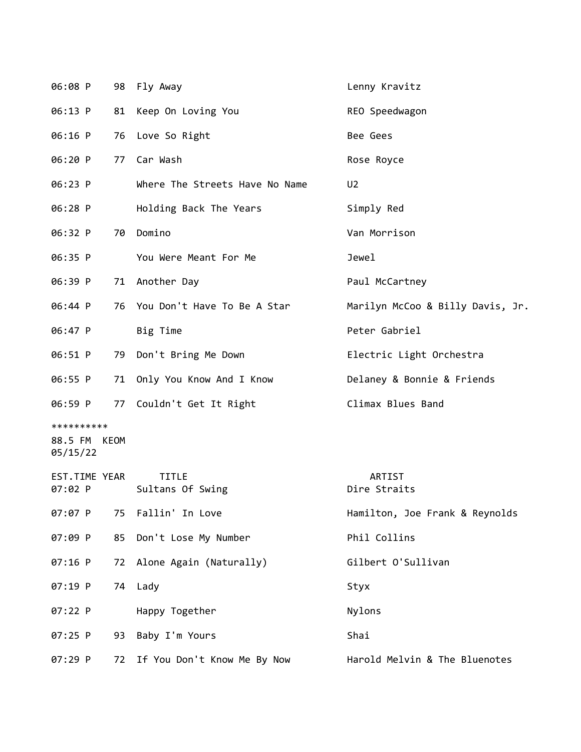| 06:08 P                                |    | 98 Fly Away                    | Lenny Kravitz                    |
|----------------------------------------|----|--------------------------------|----------------------------------|
| 06:13 P                                | 81 | Keep On Loving You             | REO Speedwagon                   |
| 06:16 P                                |    | 76 Love So Right               | Bee Gees                         |
| 06:20 P                                | 77 | Car Wash                       | Rose Royce                       |
| 06:23 P                                |    | Where The Streets Have No Name | U <sub>2</sub>                   |
| 06:28 P                                |    | Holding Back The Years         | Simply Red                       |
| 06:32 P                                |    | 70 Domino                      | Van Morrison                     |
| 06:35 P                                |    | You Were Meant For Me          | Jewel                            |
| 06:39 P                                |    | 71 Another Day                 | Paul McCartney                   |
| 06:44 P                                |    | 76 You Don't Have To Be A Star | Marilyn McCoo & Billy Davis, Jr. |
| 06:47 P                                |    | Big Time                       | Peter Gabriel                    |
| 06:51 P                                | 79 | Don't Bring Me Down            | Electric Light Orchestra         |
| 06:55 P                                |    | 71 Only You Know And I Know    | Delaney & Bonnie & Friends       |
| 06:59 P                                |    | 77 Couldn't Get It Right       | Climax Blues Band                |
| **********<br>88.5 FM KEOM<br>05/15/22 |    |                                |                                  |
| EST.TIME YEAR<br>07:02 P               |    | TITLE<br>Sultans Of Swing      | ARTIST<br>Dire Straits           |
| 07:07 P                                | 75 | Fallin' In Love                | Hamilton, Joe Frank & Reynolds   |
| 07:09 P                                | 85 | Don't Lose My Number           | Phil Collins                     |
| 07:16 P                                | 72 | Alone Again (Naturally)        | Gilbert O'Sullivan               |
| 07:19 P                                |    | 74 Lady                        | Styx                             |
| 07:22 P                                |    | Happy Together                 | Nylons                           |
| 07:25 P                                | 93 | Baby I'm Yours                 | Shai                             |
| 07:29 P                                | 72 | If You Don't Know Me By Now    | Harold Melvin & The Bluenotes    |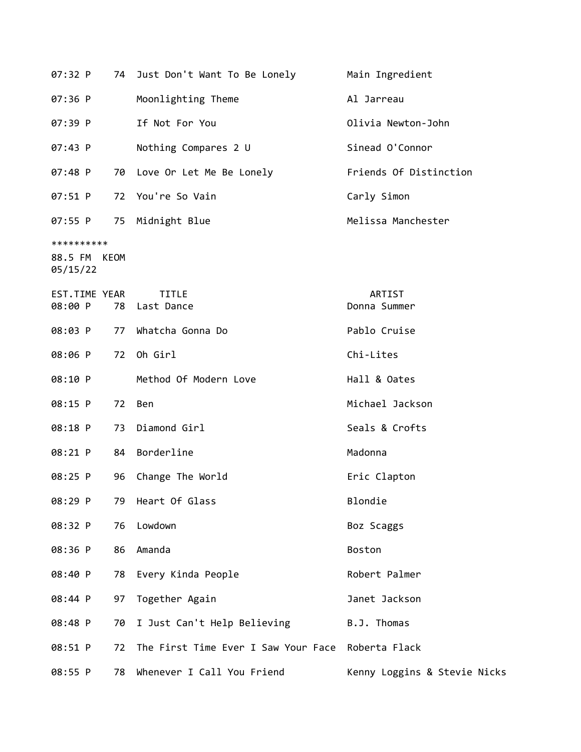| 07:32 P                           |      | 74 Just Don't Want To Be Lonely     | Main Ingredient              |  |
|-----------------------------------|------|-------------------------------------|------------------------------|--|
| 07:36 P                           |      | Moonlighting Theme                  | Al Jarreau                   |  |
| 07:39 P                           |      | If Not For You                      | Olivia Newton-John           |  |
| 07:43 P                           |      | Nothing Compares 2 U                | Sinead O'Connor              |  |
| 07:48 P                           |      | 70 Love Or Let Me Be Lonely         | Friends Of Distinction       |  |
| 07:51 P                           | 72   | You're So Vain                      | Carly Simon                  |  |
| 07:55 P                           |      | 75 Midnight Blue                    | Melissa Manchester           |  |
| **********<br>88.5 FM<br>05/15/22 | KEOM |                                     |                              |  |
| EST.TIME YEAR<br>08:00 P          |      | <b>TITLE</b><br>78 Last Dance       | ARTIST<br>Donna Summer       |  |
| 08:03 P                           | 77   | Whatcha Gonna Do                    | Pablo Cruise                 |  |
| 08:06 P                           | 72   | Oh Girl                             | Chi-Lites                    |  |
| 08:10 P                           |      | Method Of Modern Love               | Hall & Oates                 |  |
| 08:15 P                           | 72   | <b>Ben</b>                          | Michael Jackson              |  |
| 08:18 P                           |      | 73 Diamond Girl                     | Seals & Crofts               |  |
| 08:21 P                           |      | 84 Borderline                       | Madonna                      |  |
| 08:25 P                           | 96   | Change The World                    | Eric Clapton                 |  |
| 08:29 P                           | 79   | Heart Of Glass                      | Blondie                      |  |
| 08:32 P                           | 76   | Lowdown                             | Boz Scaggs                   |  |
| 08:36 P                           | 86   | Amanda                              | <b>Boston</b>                |  |
| 08:40 P                           | 78   | Every Kinda People                  | Robert Palmer                |  |
| 08:44 P                           | 97   | Together Again                      | Janet Jackson                |  |
| 08:48 P                           | 70   | I Just Can't Help Believing         | B.J. Thomas                  |  |
| 08:51 P                           | 72   | The First Time Ever I Saw Your Face | Roberta Flack                |  |
| 08:55 P                           | 78   | Whenever I Call You Friend          | Kenny Loggins & Stevie Nicks |  |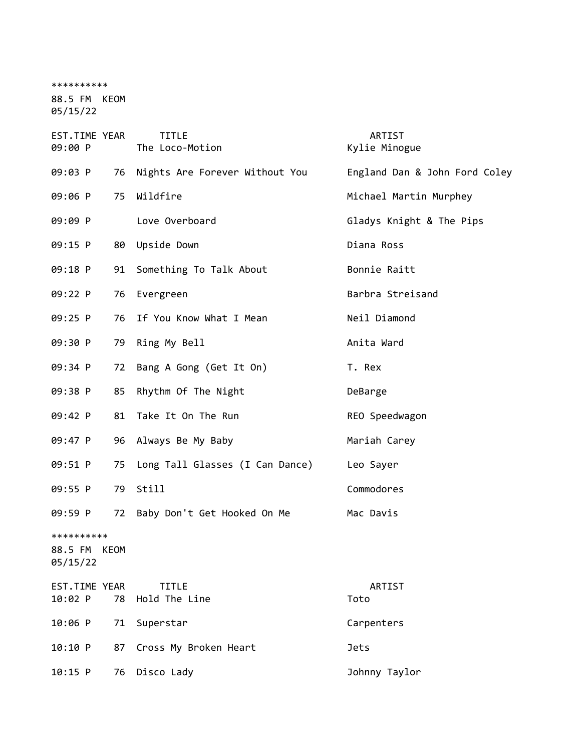\*\*\*\*\*\*\*\*\*\* 88.5 FM KEOM 05/15/22

| EST.TIME YEAR<br>09:00 P                  | <b>TITLE</b><br>The Loco-Motion | ARTIST<br>Kylie Minogue       |  |
|-------------------------------------------|---------------------------------|-------------------------------|--|
| 09:03 P<br>76                             | Nights Are Forever Without You  | England Dan & John Ford Coley |  |
| 09:06 P<br>75                             | Wildfire                        | Michael Martin Murphey        |  |
| 09:09 P                                   | Love Overboard                  | Gladys Knight & The Pips      |  |
| 09:15 P<br>80                             | Upside Down                     | Diana Ross                    |  |
| 09:18 P<br>91                             | Something To Talk About         | Bonnie Raitt                  |  |
| 09:22 P<br>76                             | Evergreen                       | Barbra Streisand              |  |
| 09:25 P<br>76                             | If You Know What I Mean         | Neil Diamond                  |  |
| 09:30 P<br>79                             | Ring My Bell                    | Anita Ward                    |  |
| 09:34 P<br>72                             | Bang A Gong (Get It On)         | T. Rex                        |  |
| 09:38 P<br>85                             | Rhythm Of The Night             | DeBarge                       |  |
| 09:42 P<br>81                             | Take It On The Run              | REO Speedwagon                |  |
| 09:47 P<br>96                             | Always Be My Baby               | Mariah Carey                  |  |
| 09:51 P<br>75                             | Long Tall Glasses (I Can Dance) | Leo Sayer                     |  |
| 09:55 P<br>79                             | Still                           | Commodores                    |  |
| 09:59 P<br>72                             | Baby Don't Get Hooked On Me     | Mac Davis                     |  |
| **********<br>88.5 FM<br>KEOM<br>05/15/22 |                                 |                               |  |
| EST.TIME YEAR<br>10:02 P<br>78            | <b>TITLE</b><br>Hold The Line   | ARTIST<br>Toto                |  |
| 10:06 P<br>71                             | Superstar                       | Carpenters                    |  |
| 10:10 P<br>87                             | Cross My Broken Heart           | <b>Jets</b>                   |  |
| 10:15 P<br>76                             | Disco Lady                      | Johnny Taylor                 |  |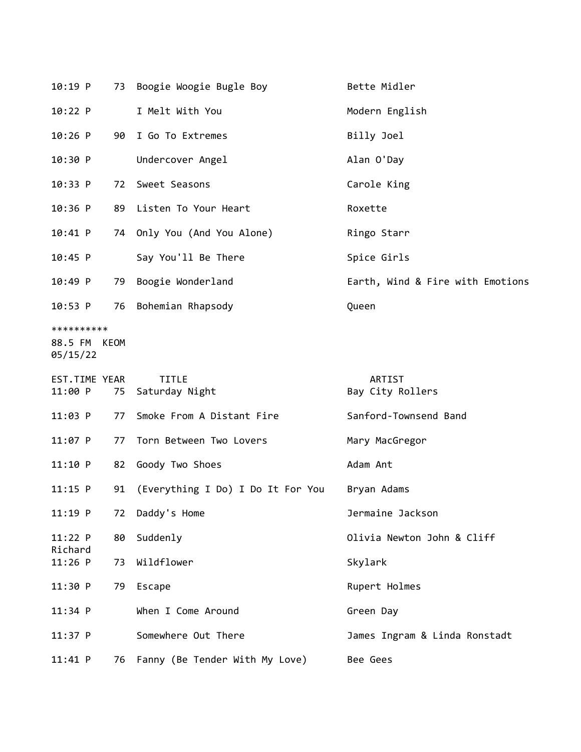| $10:19$ P                |    | 73 Boogie Woogie Bugle Boy        | Bette Midler                     |
|--------------------------|----|-----------------------------------|----------------------------------|
| 10:22 P                  |    | I Melt With You                   | Modern English                   |
| $10:26$ P                | 90 | I Go To Extremes                  | Billy Joel                       |
| 10:30 P                  |    | Undercover Angel                  | Alan O'Day                       |
| 10:33 P                  | 72 | Sweet Seasons                     | Carole King                      |
| $10:36$ P                |    | 89 Listen To Your Heart           | Roxette                          |
| 10:41 P                  |    | 74 Only You (And You Alone)       | Ringo Starr                      |
| $10:45$ P                |    | Say You'll Be There               | Spice Girls                      |
| 10:49 P                  | 79 | Boogie Wonderland                 | Earth, Wind & Fire with Emotions |
| $10:53$ P                | 76 | Bohemian Rhapsody                 | Queen                            |
| **********               |    |                                   |                                  |
| 88.5 FM KEOM<br>05/15/22 |    |                                   |                                  |
| EST.TIME YEAR<br>11:00 P | 75 | <b>TITLE</b><br>Saturday Night    | ARTIST<br>Bay City Rollers       |
| $11:03$ P                | 77 | Smoke From A Distant Fire         | Sanford-Townsend Band            |
| $11:07$ P                | 77 | Torn Between Two Lovers           | Mary MacGregor                   |
| 11:10 P                  | 82 | Goody Two Shoes                   | Adam Ant                         |
| $11:15$ P                | 91 | (Everything I Do) I Do It For You | Bryan Adams                      |
| $11:19$ P                | 72 | Daddy's Home                      | Jermaine Jackson                 |
| 11:22 P<br>Richard       | 80 | Suddenly                          | Olivia Newton John & Cliff       |
| $11:26$ P                | 73 | Wildflower                        | Skylark                          |
| 11:30 P                  | 79 | Escape                            | Rupert Holmes                    |
| $11:34$ P                |    | When I Come Around                | Green Day                        |
| $11:37$ P                |    | Somewhere Out There               | James Ingram & Linda Ronstadt    |
|                          |    |                                   |                                  |